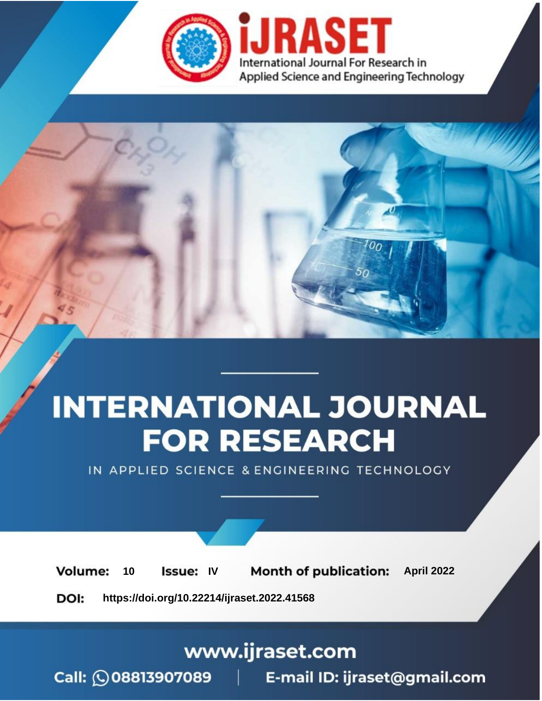

# **INTERNATIONAL JOURNAL FOR RESEARCH**

IN APPLIED SCIENCE & ENGINEERING TECHNOLOGY

10 **Issue: IV Month of publication:** April 2022 **Volume:** 

**https://doi.org/10.22214/ijraset.2022.41568**DOI:

www.ijraset.com

Call: 008813907089 | E-mail ID: ijraset@gmail.com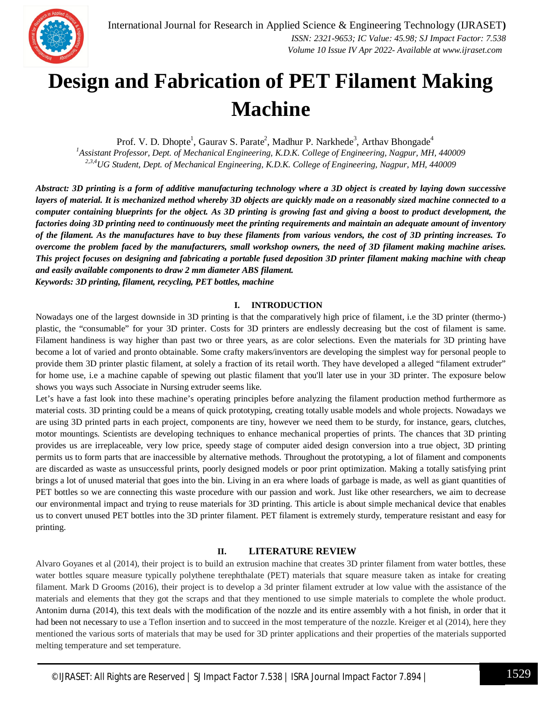

### **Design and Fabrication of PET Filament Making Machine**

Prof. V. D. Dhopte<sup>1</sup>, Gaurav S. Parate<sup>2</sup>, Madhur P. Narkhede<sup>3</sup>, Arthav Bhongade<sup>4</sup> *<sup>1</sup>Assistant Professor, Dept. of Mechanical Engineering, K.D.K. College of Engineering, Nagpur, MH, 440009 2,3,4UG Student, Dept. of Mechanical Engineering, K.D.K. College of Engineering, Nagpur, MH, 440009*

*Abstract: 3D printing is a form of additive manufacturing technology where a 3D object is created by laying down successive layers of material. It is mechanized method whereby 3D objects are quickly made on a reasonably sized machine connected to a computer containing blueprints for the object. As 3D printing is growing fast and giving a boost to product development, the factories doing 3D printing need to continuously meet the printing requirements and maintain an adequate amount of inventory of the filament. As the manufactures have to buy these filaments from various vendors, the cost of 3D printing increases. To overcome the problem faced by the manufacturers, small workshop owners, the need of 3D filament making machine arises. This project focuses on designing and fabricating a portable fused deposition 3D printer filament making machine with cheap and easily available components to draw 2 mm diameter ABS filament.*

*Keywords: 3D printing, filament, recycling, PET bottles, machine* 

#### **I. INTRODUCTION**

Nowadays one of the largest downside in 3D printing is that the comparatively high price of filament, i.e the 3D printer (thermo-) plastic, the "consumable" for your 3D printer. Costs for 3D printers are endlessly decreasing but the cost of filament is same. Filament handiness is way higher than past two or three years, as are color selections. Even the materials for 3D printing have become a lot of varied and pronto obtainable. Some crafty makers/inventors are developing the simplest way for personal people to provide them 3D printer plastic filament, at solely a fraction of its retail worth. They have developed a alleged "filament extruder" for home use, i.e a machine capable of spewing out plastic filament that you'll later use in your 3D printer. The exposure below shows you ways such Associate in Nursing extruder seems like.

Let's have a fast look into these machine's operating principles before analyzing the filament production method furthermore as material costs. 3D printing could be a means of quick prototyping, creating totally usable models and whole projects. Nowadays we are using 3D printed parts in each project, components are tiny, however we need them to be sturdy, for instance, gears, clutches, motor mountings. Scientists are developing techniques to enhance mechanical properties of prints. The chances that 3D printing provides us are irreplaceable, very low price, speedy stage of computer aided design conversion into a true object, 3D printing permits us to form parts that are inaccessible by alternative methods. Throughout the prototyping, a lot of filament and components are discarded as waste as unsuccessful prints, poorly designed models or poor print optimization. Making a totally satisfying print brings a lot of unused material that goes into the bin. Living in an era where loads of garbage is made, as well as giant quantities of PET bottles so we are connecting this waste procedure with our passion and work. Just like other researchers, we aim to decrease our environmental impact and trying to reuse materials for 3D printing. This article is about simple mechanical device that enables us to convert unused PET bottles into the 3D printer filament. PET filament is extremely sturdy, temperature resistant and easy for printing.

#### **II. LITERATURE REVIEW**

Alvaro Goyanes et al (2014), their project is to build an extrusion machine that creates 3D printer filament from water bottles, these water bottles square measure typically polythene terephthalate (PET) materials that square measure taken as intake for creating filament. Mark D Grooms (2016), their project is to develop a 3d printer filament extruder at low value with the assistance of the materials and elements that they got the scraps and that they mentioned to use simple materials to complete the whole product. Antonim durna (2014), this text deals with the modification of the nozzle and its entire assembly with a hot finish, in order that it had been not necessary to use a Teflon insertion and to succeed in the most temperature of the nozzle. Kreiger et al (2014), here they mentioned the various sorts of materials that may be used for 3D printer applications and their properties of the materials supported melting temperature and set temperature.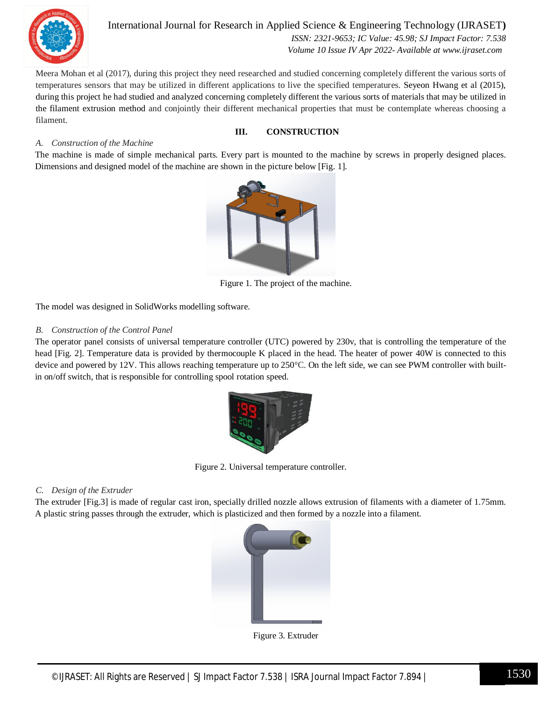

International Journal for Research in Applied Science & Engineering Technology (IJRASET**)**  *ISSN: 2321-9653; IC Value: 45.98; SJ Impact Factor: 7.538*

 *Volume 10 Issue IV Apr 2022- Available at www.ijraset.com*

Meera Mohan et al (2017), during this project they need researched and studied concerning completely different the various sorts of temperatures sensors that may be utilized in different applications to live the specified temperatures. Seyeon Hwang et al (2015), during this project he had studied and analyzed concerning completely different the various sorts of materials that may be utilized in the filament extrusion method and conjointly their different mechanical properties that must be contemplate whereas choosing a filament.

#### **III. CONSTRUCTION**

#### *A. Construction of the Machine*

The machine is made of simple mechanical parts. Every part is mounted to the machine by screws in properly designed places. Dimensions and designed model of the machine are shown in the picture below [Fig. 1].



Figure 1. The project of the machine.

The model was designed in SolidWorks modelling software.

#### *B. Construction of the Control Panel*

The operator panel consists of universal temperature controller (UTC) powered by 230v, that is controlling the temperature of the head [Fig. 2]. Temperature data is provided by thermocouple K placed in the head. The heater of power 40W is connected to this device and powered by 12V. This allows reaching temperature up to 250°C. On the left side, we can see PWM controller with builtin on/off switch, that is responsible for controlling spool rotation speed.



Figure 2. Universal temperature controller.

#### *C. Design of the Extruder*

The extruder [Fig.3] is made of regular cast iron, specially drilled nozzle allows extrusion of filaments with a diameter of 1.75mm. A plastic string passes through the extruder, which is plasticized and then formed by a nozzle into a filament.



Figure 3. Extruder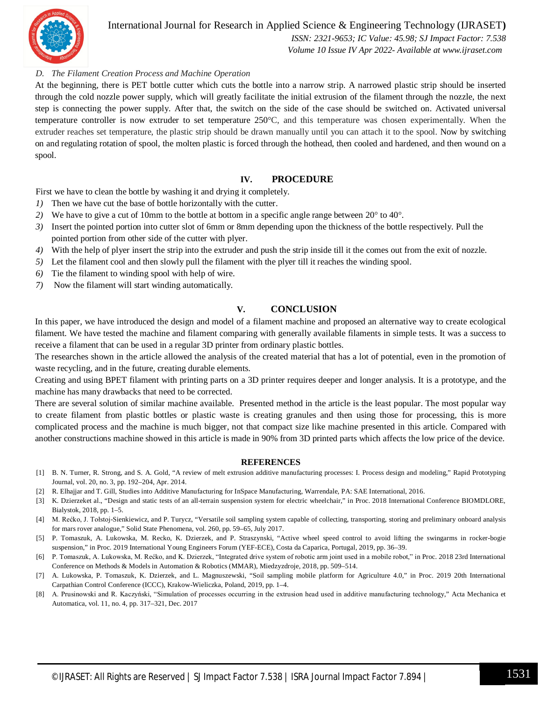

#### International Journal for Research in Applied Science & Engineering Technology (IJRASET**)**

 *ISSN: 2321-9653; IC Value: 45.98; SJ Impact Factor: 7.538 Volume 10 Issue IV Apr 2022- Available at www.ijraset.com*

#### *D. The Filament Creation Process and Machine Operation*

At the beginning, there is PET bottle cutter which cuts the bottle into a narrow strip. A narrowed plastic strip should be inserted through the cold nozzle power supply, which will greatly facilitate the initial extrusion of the filament through the nozzle, the next step is connecting the power supply. After that, the switch on the side of the case should be switched on. Activated universal temperature controller is now extruder to set temperature 250°C, and this temperature was chosen experimentally. When the extruder reaches set temperature, the plastic strip should be drawn manually until you can attach it to the spool. Now by switching on and regulating rotation of spool, the molten plastic is forced through the hothead, then cooled and hardened, and then wound on a spool.

#### **IV. PROCEDURE**

First we have to clean the bottle by washing it and drying it completely.

- *1)* Then we have cut the base of bottle horizontally with the cutter.
- *2)* We have to give a cut of 10mm to the bottle at bottom in a specific angle range between 20° to 40°.
- *3)* Insert the pointed portion into cutter slot of 6mm or 8mm depending upon the thickness of the bottle respectively. Pull the pointed portion from other side of the cutter with plyer.
- *4)* With the help of plyer insert the strip into the extruder and push the strip inside till it the comes out from the exit of nozzle.
- *5)* Let the filament cool and then slowly pull the filament with the plyer till it reaches the winding spool.
- *6)* Tie the filament to winding spool with help of wire.
- *7)* Now the filament will start winding automatically.

#### **V. CONCLUSION**

In this paper, we have introduced the design and model of a filament machine and proposed an alternative way to create ecological filament. We have tested the machine and filament comparing with generally available filaments in simple tests. It was a success to receive a filament that can be used in a regular 3D printer from ordinary plastic bottles.

The researches shown in the article allowed the analysis of the created material that has a lot of potential, even in the promotion of waste recycling, and in the future, creating durable elements.

Creating and using BPET filament with printing parts on a 3D printer requires deeper and longer analysis. It is a prototype, and the machine has many drawbacks that need to be corrected.

There are several solution of similar machine available. Presented method in the article is the least popular. The most popular way to create filament from plastic bottles or plastic waste is creating granules and then using those for processing, this is more complicated process and the machine is much bigger, not that compact size like machine presented in this article. Compared with another constructions machine showed in this article is made in 90% from 3D printed parts which affects the low price of the device.

#### **REFERENCES**

- [1] B. N. Turner, R. Strong, and S. A. Gold, "A review of melt extrusion additive manufacturing processes: I. Process design and modeling," Rapid Prototyping Journal, vol. 20, no. 3, pp. 192–204, Apr. 2014.
- [2] R. Elhajjar and T. Gill, Studies into Additive Manufacturing for InSpace Manufacturing, Warrendale, PA: SAE International, 2016.
- [3] K. Dzierzeket al., "Design and static tests of an all-terrain suspension system for electric wheelchair," in Proc. 2018 International Conference BIOMDLORE, Bialystok, 2018, pp. 1–5.
- [4] M. Rećko, J. Tołstoj-Sienkiewicz, and P. Turycz, "Versatile soil sampling system capable of collecting, transporting, storing and preliminary onboard analysis for mars rover analogue," Solid State Phenomena, vol. 260, pp. 59–65, July 2017.
- [5] P. Tomaszuk, A. Lukowska, M. Recko, K. Dzierzek, and P. Straszynski, "Active wheel speed control to avoid lifting the swingarms in rocker-bogie suspension," in Proc. 2019 International Young Engineers Forum (YEF-ECE), Costa da Caparica, Portugal, 2019, pp. 36–39.
- [6] P. Tomaszuk, A. Lukowska, M. Rećko, and K. Dzierzek, "Integrated drive system of robotic arm joint used in a mobile robot," in Proc. 2018 23rd International Conference on Methods & Models in Automation & Robotics (MMAR), Miedzyzdroje, 2018, pp. 509–514.
- [7] A. Lukowska, P. Tomaszuk, K. Dzierzek, and L. Magnuszewski, "Soil sampling mobile platform for Agriculture 4.0," in Proc. 2019 20th International Carpathian Control Conference (ICCC), Krakow-Wieliczka, Poland, 2019, pp. 1–4.
- [8] A. Prusinowski and R. Kaczyński, "Simulation of processes occurring in the extrusion head used in additive manufacturing technology," Acta Mechanica et Automatica, vol. 11, no. 4, pp. 317–321, Dec. 2017